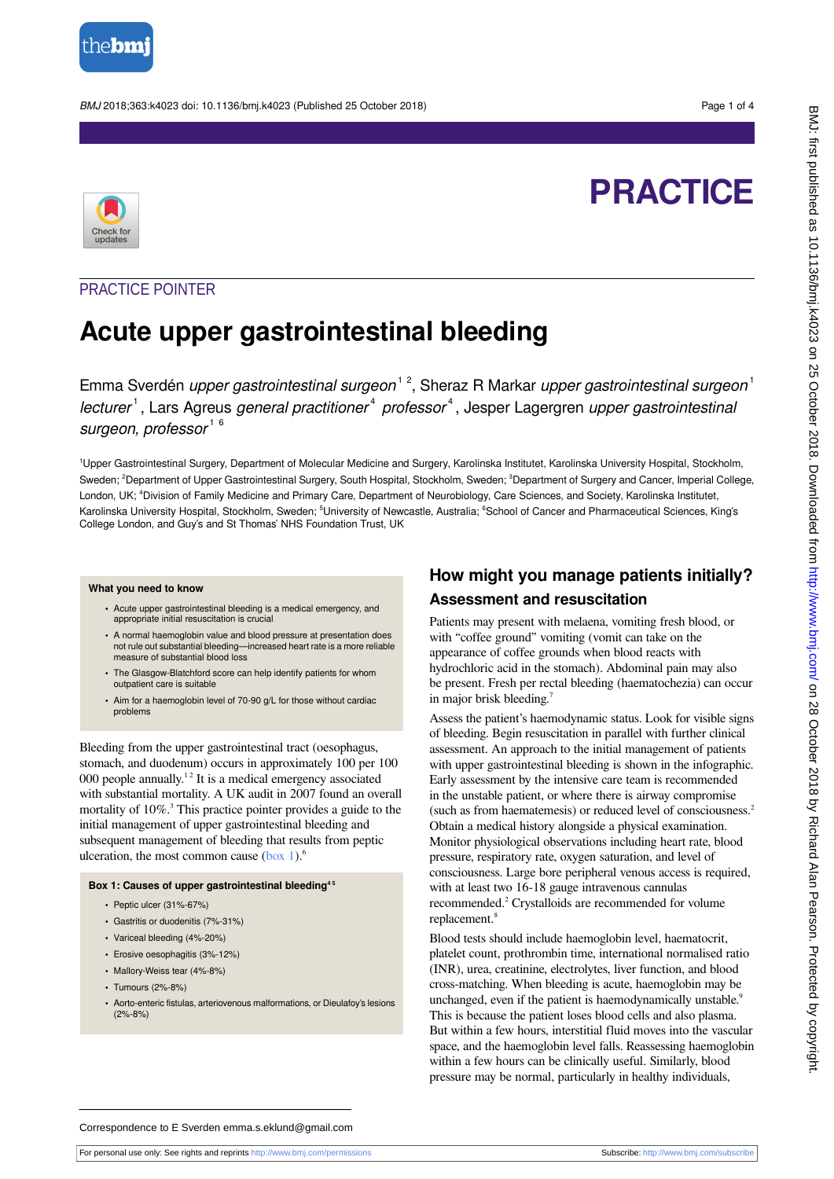

BMJ 2018;363:k4023 doi: 10.1136/bmj.k4023 (Published 25 October 2018) Page 1 of 4

# **PRACTICE**



# PRACTICE POINTER

# **Acute upper gastrointestinal bleeding**

Emma Sverdén *upper gastrointestinal surgeon*<sup>12</sup>, Sheraz R Markar *upper gastrointestinal surgeon*<sup>1</sup> lecturer<sup>1</sup>, Lars Agreus *general practitioner<sup>4</sup>* professor<sup>4</sup>, Jesper Lagergren upper gastrointestinal surgeon, professor<sup>16</sup>

<sup>1</sup>Upper Gastrointestinal Surgery, Department of Molecular Medicine and Surgery, Karolinska Institutet, Karolinska University Hospital, Stockholm, Sweden; <sup>2</sup>Department of Upper Gastrointestinal Surgery, South Hospital, Stockholm, Sweden; <sup>3</sup>Department of Surgery and Cancer, Imperial College, London, UK; <sup>4</sup>Division of Family Medicine and Primary Care, Department of Neurobiology, Care Sciences, and Society, Karolinska Institutet, Karolinska University Hospital, Stockholm, Sweden; <sup>5</sup>University of Newcastle, Australia; <sup>6</sup>School of Cancer and Pharmaceutical Sciences, King's College London, and Guy's and St Thomas' NHS Foundation Trust, UK

#### **What you need to know**

- **•** Acute upper gastrointestinal bleeding is a medical emergency, and appropriate initial resuscitation is crucial
- **•** A normal haemoglobin value and blood pressure at presentation does not rule out substantial bleeding—increased heart rate is a more reliable measure of substantial blood loss
- **•** The Glasgow-Blatchford score can help identify patients for whom outpatient care is suitable
- **•** Aim for a haemoglobin level of 70-90 g/L for those without cardiac problems

<span id="page-0-0"></span>Bleeding from the upper gastrointestinal tract (oesophagus, stomach, and duodenum) occurs in approximately 100 per 100 000 people annually.<sup>12</sup> It is a medical emergency associated with substantial mortality. A UK audit in 2007 found an overall mortality of 10%.<sup>3</sup> This practice pointer provides a guide to the initial management of upper gastrointestinal bleeding and subsequent management of bleeding that results from peptic ulceration, the most common cause  $(box 1)$  $(box 1)$ .<sup>6</sup>

#### **Box 1: Causes of upper gastrointestinal bleeding4 5**

- **•** Peptic ulcer (31%-67%)
- **•** Gastritis or duodenitis (7%-31%)
- **•** Variceal bleeding (4%-20%)
- **•** Erosive oesophagitis (3%-12%)
- **•** Mallory-Weiss tear (4%-8%)
- **•** Tumours (2%-8%)
- **•** Aorto-enteric fistulas, arteriovenous malformations, or Dieulafoy's lesions (2%-8%)

# **How might you manage patients initially? Assessment and resuscitation**

Patients may present with melaena, vomiting fresh blood, or with "coffee ground" vomiting (vomit can take on the appearance of coffee grounds when blood reacts with hydrochloric acid in the stomach). Abdominal pain may also be present. Fresh per rectal bleeding (haematochezia) can occur in major brisk bleeding.<sup>7</sup>

Assess the patient's haemodynamic status. Look for visible signs of bleeding. Begin resuscitation in parallel with further clinical assessment. An approach to the initial management of patients with upper gastrointestinal bleeding is shown in the infographic. Early assessment by the intensive care team is recommended in the unstable patient, or where there is airway compromise (such as from haematemesis) or reduced level of consciousness.<sup>2</sup> Obtain a medical history alongside a physical examination. Monitor physiological observations including heart rate, blood pressure, respiratory rate, oxygen saturation, and level of consciousness. Large bore peripheral venous access is required, with at least two 16-18 gauge intravenous cannulas recommended.<sup>2</sup> Crystalloids are recommended for volume replacement.<sup>8</sup>

Blood tests should include haemoglobin level, haematocrit, platelet count, prothrombin time, international normalised ratio (INR), urea, creatinine, electrolytes, liver function, and blood cross-matching. When bleeding is acute, haemoglobin may be unchanged, even if the patient is haemodynamically unstable.<sup>9</sup> This is because the patient loses blood cells and also plasma. But within a few hours, interstitial fluid moves into the vascular space, and the haemoglobin level falls. Reassessing haemoglobin within a few hours can be clinically useful. Similarly, blood pressure may be normal, particularly in healthy individuals,

Correspondence to E Sverden emma.s.eklund@gmail.com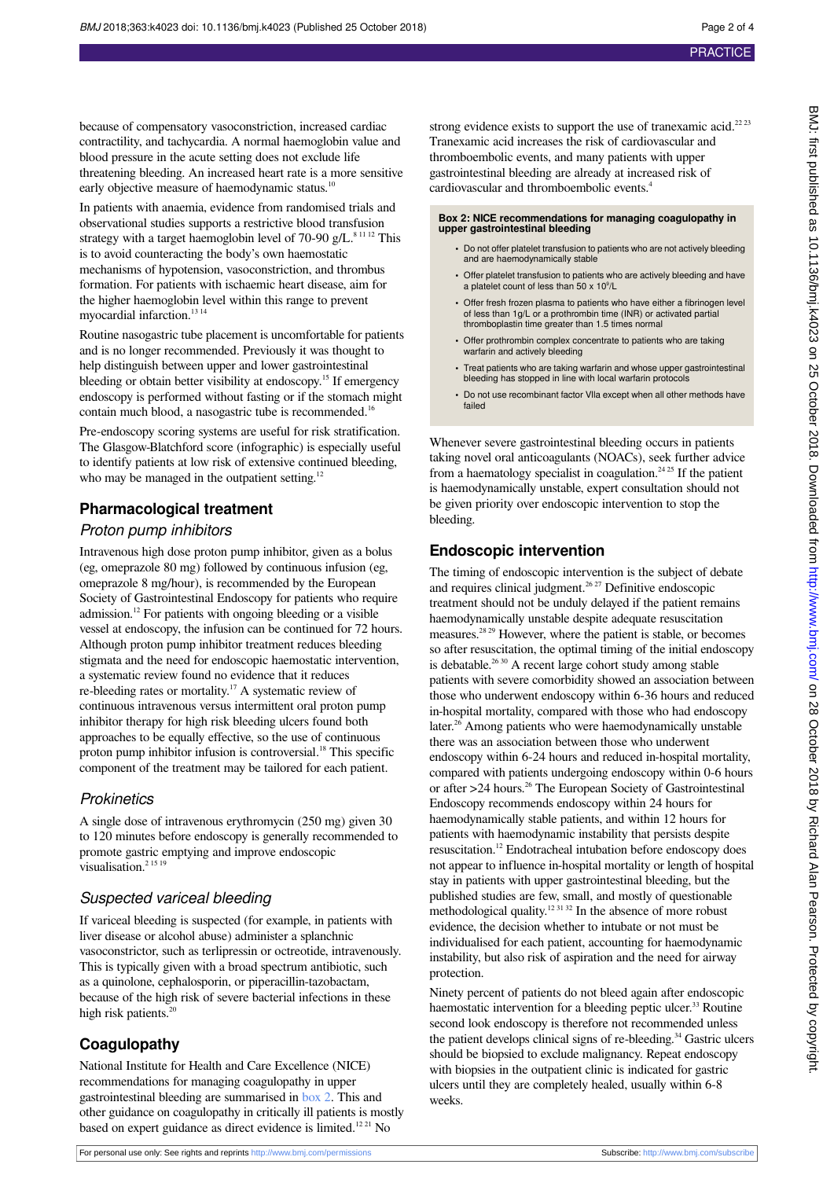because of compensatory vasoconstriction, increased cardiac contractility, and tachycardia. A normal haemoglobin value and blood pressure in the acute setting does not exclude life threatening bleeding. An increased heart rate is a more sensitive early objective measure of haemodynamic status.<sup>10</sup>

In patients with anaemia, evidence from randomised trials and observational studies supports a restrictive blood transfusion strategy with a target haemoglobin level of 70-90 g/L.<sup>8 11 12</sup> This is to avoid counteracting the body's own haemostatic mechanisms of hypotension, vasoconstriction, and thrombus formation. For patients with ischaemic heart disease, aim for the higher haemoglobin level within this range to prevent myocardial infarction.<sup>13 14</sup>

Routine nasogastric tube placement is uncomfortable for patients and is no longer recommended. Previously it was thought to help distinguish between upper and lower gastrointestinal bleeding or obtain better visibility at endoscopy.<sup>15</sup> If emergency endoscopy is performed without fasting or if the stomach might contain much blood, a nasogastric tube is recommended.<sup>16</sup>

Pre-endoscopy scoring systems are useful for risk stratification. The Glasgow-Blatchford score (infographic) is especially useful to identify patients at low risk of extensive continued bleeding, who may be managed in the outpatient setting.<sup>12</sup>

# **Pharmacological treatment**

#### Proton pump inhibitors

Intravenous high dose proton pump inhibitor, given as a bolus (eg, omeprazole 80 mg) followed by continuous infusion (eg, omeprazole 8 mg/hour), is recommended by the European Society of Gastrointestinal Endoscopy for patients who require admission.<sup>12</sup> For patients with ongoing bleeding or a visible vessel at endoscopy, the infusion can be continued for 72 hours. Although proton pump inhibitor treatment reduces bleeding stigmata and the need for endoscopic haemostatic intervention, a systematic review found no evidence that it reduces re-bleeding rates or mortality.<sup>17</sup> A systematic review of continuous intravenous versus intermittent oral proton pump inhibitor therapy for high risk bleeding ulcers found both approaches to be equally effective, so the use of continuous proton pump inhibitor infusion is controversial.<sup>18</sup> This specific component of the treatment may be tailored for each patient.

#### **Prokinetics**

A single dose of intravenous erythromycin (250 mg) given 30 to 120 minutes before endoscopy is generally recommended to promote gastric emptying and improve endoscopic visualisation.<sup>2 15 19</sup>

#### Suspected variceal bleeding

If variceal bleeding is suspected (for example, in patients with liver disease or alcohol abuse) administer a splanchnic vasoconstrictor, such as terlipressin or octreotide, intravenously. This is typically given with a broad spectrum antibiotic, such as a quinolone, cephalosporin, or piperacillin-tazobactam, because of the high risk of severe bacterial infections in these high risk patients.<sup>20</sup>

# **Coagulopathy**

National Institute for Health and Care Excellence (NICE) recommendations for managing coagulopathy in upper gastrointestinal bleeding are summarised in [box 2](#page-1-0). This and other guidance on coagulopathy in critically ill patients is mostly based on expert guidance as direct evidence is limited.<sup>1221</sup> No

strong evidence exists to support the use of tranexamic acid.<sup>2223</sup> Tranexamic acid increases the risk of cardiovascular and thromboembolic events, and many patients with upper gastrointestinal bleeding are already at increased risk of cardiovascular and thromboembolic events.<sup>4</sup>

#### <span id="page-1-0"></span>**Box 2: NICE recommendations for managing coagulopathy in upper gastrointestinal bleeding**

- **•** Do not offer platelet transfusion to patients who are not actively bleeding and are haemodynamically stable
- **•** Offer platelet transfusion to patients who are actively bleeding and have a platelet count of less than  $50 \times 10^9$ /L
- **•** Offer fresh frozen plasma to patients who have either a fibrinogen level of less than 1g/L or a prothrombin time (INR) or activated partial thromboplastin time greater than 1.5 times normal
- **•** Offer prothrombin complex concentrate to patients who are taking warfarin and actively bleeding
- **•** Treat patients who are taking warfarin and whose upper gastrointestinal bleeding has stopped in line with local warfarin protocols
- **•** Do not use recombinant factor Vlla except when all other methods have failed

Whenever severe gastrointestinal bleeding occurs in patients taking novel oral anticoagulants (NOACs), seek further advice from a haematology specialist in coagulation.<sup>24 25</sup> If the patient is haemodynamically unstable, expert consultation should not be given priority over endoscopic intervention to stop the bleeding.

# **Endoscopic intervention**

The timing of endoscopic intervention is the subject of debate and requires clinical judgment.<sup>26 27</sup> Definitive endoscopic treatment should not be unduly delayed if the patient remains haemodynamically unstable despite adequate resuscitation measures.28 29 However, where the patient is stable, or becomes so after resuscitation, the optimal timing of the initial endoscopy is debatable.<sup>26 30</sup> A recent large cohort study among stable patients with severe comorbidity showed an association between those who underwent endoscopy within 6-36 hours and reduced in-hospital mortality, compared with those who had endoscopy later.<sup>26</sup> Among patients who were haemodynamically unstable there was an association between those who underwent endoscopy within 6-24 hours and reduced in-hospital mortality, compared with patients undergoing endoscopy within 0-6 hours or after >24 hours.<sup>26</sup> The European Society of Gastrointestinal Endoscopy recommends endoscopy within 24 hours for haemodynamically stable patients, and within 12 hours for patients with haemodynamic instability that persists despite resuscitation.<sup>12</sup> Endotracheal intubation before endoscopy does not appear to influence in-hospital mortality or length of hospital stay in patients with upper gastrointestinal bleeding, but the published studies are few, small, and mostly of questionable methodological quality.<sup>12 31 32</sup> In the absence of more robust evidence, the decision whether to intubate or not must be individualised for each patient, accounting for haemodynamic instability, but also risk of aspiration and the need for airway protection.

Ninety percent of patients do not bleed again after endoscopic haemostatic intervention for a bleeding peptic ulcer.<sup>33</sup> Routine second look endoscopy is therefore not recommended unless the patient develops clinical signs of re-bleeding.<sup>34</sup> Gastric ulcers should be biopsied to exclude malignancy. Repeat endoscopy with biopsies in the outpatient clinic is indicated for gastric ulcers until they are completely healed, usually within 6-8 weeks.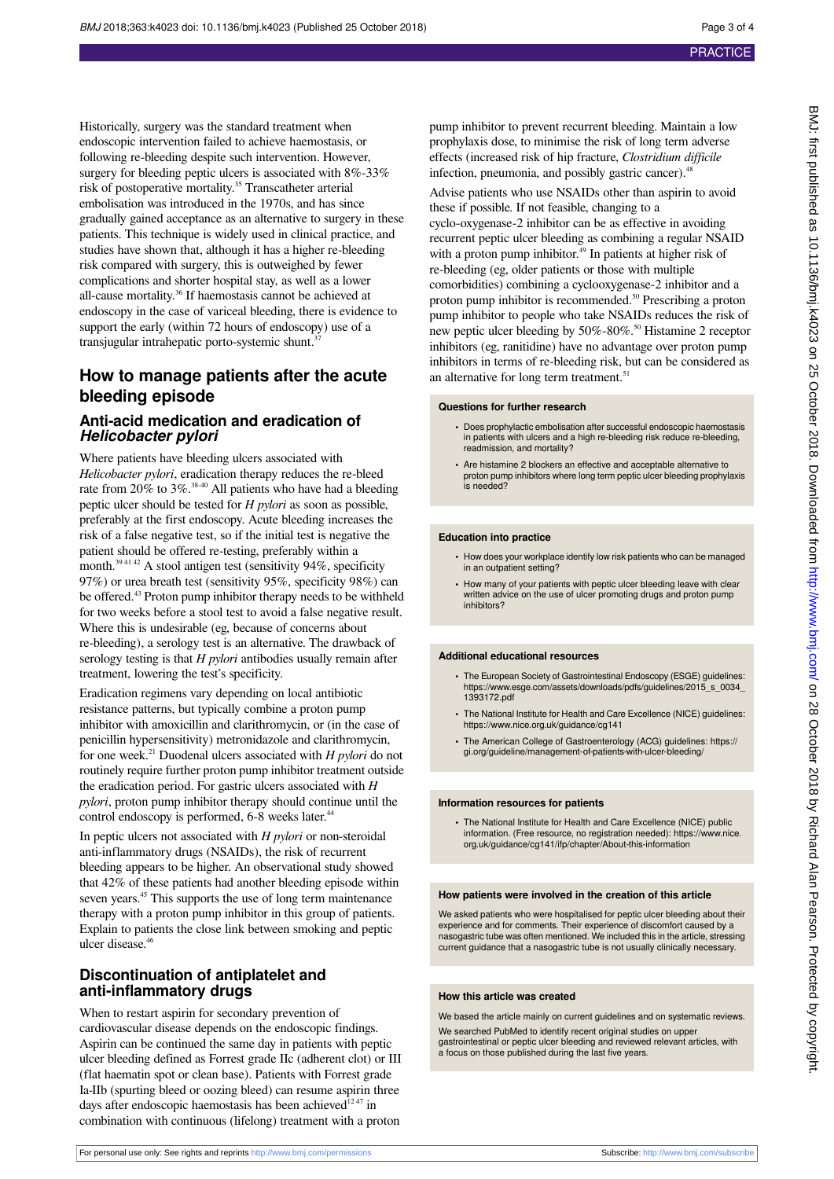Historically, surgery was the standard treatment when endoscopic intervention failed to achieve haemostasis, or following re-bleeding despite such intervention. However, surgery for bleeding peptic ulcers is associated with  $8\%$ -33% risk of postoperative mortality.<sup>35</sup> Transcatheter arterial embolisation was introduced in the 1970s, and has since gradually gained acceptance as an alternative to surgery in these patients. This technique is widely used in clinical practice, and studies have shown that, although it has a higher re-bleeding risk compared with surgery, this is outweighed by fewer complications and shorter hospital stay, as well as a lower all-cause mortality.<sup>36</sup> If haemostasis cannot be achieved at endoscopy in the case of variceal bleeding, there is evidence to support the early (within 72 hours of endoscopy) use of a transjugular intrahepatic porto-systemic shunt.<sup>37</sup>

# **How to manage patients after the acute bleeding episode**

# **Anti-acid medication and eradication of** *Helicobacter pylori*

Where patients have bleeding ulcers associated with *Helicobacter pylori*, eradication therapy reduces the re-bleed rate from 20% to 3%.<sup>38-40</sup> All patients who have had a bleeding peptic ulcer should be tested for *H pylori* as soon as possible, preferably at the first endoscopy. Acute bleeding increases the risk of a false negative test, so if the initial test is negative the patient should be offered re-testing, preferably within a month. $394142$  A stool antigen test (sensitivity 94%, specificity 97%) or urea breath test (sensitivity 95%, specificity 98%) can be offered.<sup>43</sup> Proton pump inhibitor therapy needs to be withheld for two weeks before a stool test to avoid a false negative result. Where this is undesirable (eg, because of concerns about re-bleeding), a serology test is an alternative. The drawback of serology testing is that *H pylori* antibodies usually remain after treatment, lowering the test's specificity.

Eradication regimens vary depending on local antibiotic resistance patterns, but typically combine a proton pump inhibitor with amoxicillin and clarithromycin, or (in the case of penicillin hypersensitivity) metronidazole and clarithromycin, for one week.<sup>21</sup> Duodenal ulcers associated with *H pylori* do not routinely require further proton pump inhibitor treatment outside the eradication period. For gastric ulcers associated with *H pylori*, proton pump inhibitor therapy should continue until the control endoscopy is performed, 6-8 weeks later.<sup>44</sup>

In peptic ulcers not associated with *H pylori* or non-steroidal anti-inflammatory drugs (NSAIDs), the risk of recurrent bleeding appears to be higher. An observational study showed that 42% of these patients had another bleeding episode within seven years.<sup>45</sup> This supports the use of long term maintenance therapy with a proton pump inhibitor in this group of patients. Explain to patients the close link between smoking and peptic ulcer disease.<sup>4</sup>

# **Discontinuation of antiplatelet and anti-inflammatory drugs**

When to restart aspirin for secondary prevention of cardiovascular disease depends on the endoscopic findings. Aspirin can be continued the same day in patients with peptic ulcer bleeding defined as Forrest grade IIc (adherent clot) or III (flat haematin spot or clean base). Patients with Forrest grade Ia-IIb (spurting bleed or oozing bleed) can resume aspirin three days after endoscopic haemostasis has been achieved<sup>1247</sup> in combination with continuous (lifelong) treatment with a proton

pump inhibitor to prevent recurrent bleeding. Maintain a low prophylaxis dose, to minimise the risk of long term adverse effects (increased risk of hip fracture, *Clostridium difficile* infection, pneumonia, and possibly gastric cancer).<sup>48</sup>

Advise patients who use NSAIDs other than aspirin to avoid these if possible. If not feasible, changing to a cyclo-oxygenase-2 inhibitor can be as effective in avoiding recurrent peptic ulcer bleeding as combining a regular NSAID with a proton pump inhibitor.<sup>49</sup> In patients at higher risk of re-bleeding (eg, older patients or those with multiple comorbidities) combining a cyclooxygenase-2 inhibitor and a proton pump inhibitor is recommended.<sup>50</sup> Prescribing a proton pump inhibitor to people who take NSAIDs reduces the risk of new peptic ulcer bleeding by 50%-80%.<sup>50</sup> Histamine 2 receptor inhibitors (eg, ranitidine) have no advantage over proton pump inhibitors in terms of re-bleeding risk, but can be considered as an alternative for long term treatment. $51$ 

#### **Questions for further research**

- **•** Does prophylactic embolisation after successful endoscopic haemostasis in patients with ulcers and a high re-bleeding risk reduce re-bleeding, readmission, and mortality?
- **•** Are histamine 2 blockers an effective and acceptable alternative to proton pump inhibitors where long term peptic ulcer bleeding prophylaxis is needed?

#### **Education into practice**

- **•** How does your workplace identify low risk patients who can be managed in an outpatient setting?
- **•** How many of your patients with peptic ulcer bleeding leave with clear written advice on the use of ulcer promoting drugs and proton pump inhibitors?

#### **Additional educational resources**

- **•** The European Society of Gastrointestinal Endoscopy (ESGE) guidelines: https://www.esge.com/assets/downloads/pdfs/guidelines/2015\_s\_0034\_ 1393172.pdf
- **•** The National Institute for Health and Care Excellence (NICE) guidelines: https://www.nice.org.uk/guidance/cg141
- **•** The American College of Gastroenterology (ACG) guidelines: https:// gi.org/guideline/management-of-patients-with-ulcer-bleeding/

#### **Information resources for patients**

**•** The National Institute for Health and Care Excellence (NICE) public information. (Free resource, no registration needed): https://www.nice. org.uk/guidance/cg141/ifp/chapter/About-this-information

#### **How patients were involved in the creation of this article**

We asked patients who were hospitalised for peptic ulcer bleeding about their experience and for comments. Their experience of discomfort caused by a nasogastric tube was often mentioned. We included this in the article, stressing current guidance that a nasogastric tube is not usually clinically necessary.

#### **How this article was created**

We based the article mainly on current guidelines and on systematic reviews. We searched PubMed to identify recent original studies on upper gastrointestinal or peptic ulcer bleeding and reviewed relevant articles, with a focus on those published during the last five years.

BMJ: first published as 10.1136/bmj.k4023 on 25 October 2018. Downloaded from http://www.bmj.com/ on 28 October 2018 by Richard Alan Pearson. Protected by copyright BMJ: first published as 10.1136/bmj.k4022 on 25 October 2018. Downloaded from <http://www.bmj.com/> on 28 October 2018 by Richard Alan Pearson. Protected by copyright.